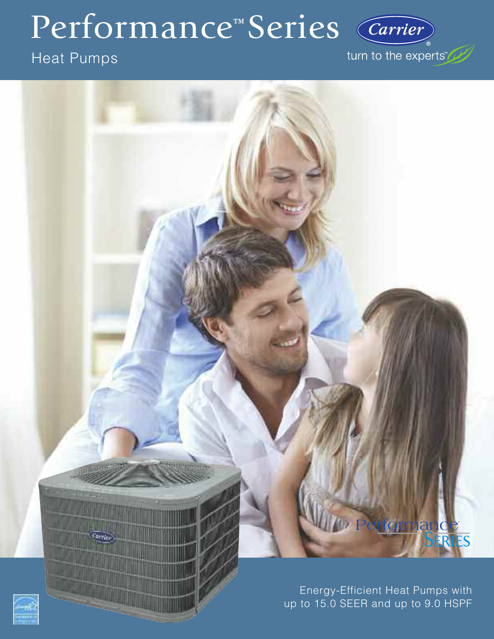## Performance™ Series

### Heat Pumps

turn to the experts"

Carrier

# ormand

Energy-Efficient Heat Pumps with up to 15.0 SEER and up to 9.0 HSPF



Carvier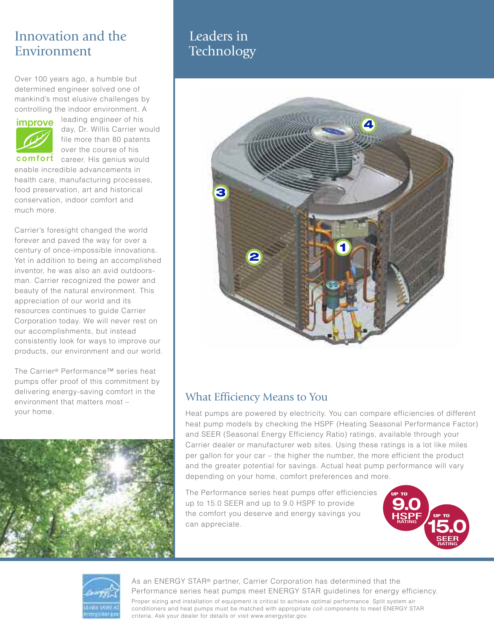#### Innovation and the Environment

Over 100 years ago, a humble but determined engineer solved one of mankind's most elusive challenges by controlling the indoor environment. A



leading engineer of his day, Dr. Willis Carrier would file more than 80 patents over the course of his

comfort career. His genius would enable incredible advancements in health care, manufacturing processes, food preservation, art and historical conservation, indoor comfort and much more.

Carrier's foresight changed the world forever and paved the way for over a century of once-impossible innovations. Yet in addition to being an accomplished inventor, he was also an avid outdoorsman. Carrier recognized the power and beauty of the natural environment. This appreciation of our world and its resources continues to guide Carrier Corporation today. We will never rest on our accomplishments, but instead consistently look for ways to improve our products, our environment and our world.

The Carrier® Performance™ series heat pumps offer proof of this commitment by delivering energy-saving comfort in the environment that matters most – your home.



#### Leaders in **Technology**



#### What Efficiency Means to You

Heat pumps are powered by electricity. You can compare efficiencies of different heat pump models by checking the HSPF (Heating Seasonal Performance Factor) and SEER (Seasonal Energy Efficiency Ratio) ratings, available through your Carrier dealer or manufacturer web sites. Using these ratings is a lot like miles per gallon for your car – the higher the number, the more efficient the product and the greater potential for savings. Actual heat pump performance will vary depending on your home, comfort preferences and more.

The Performance series heat pumps offer efficiencies up to 15.0 SEER and up to 9.0 HSPF to provide the comfort you deserve and energy savings you can appreciate.





As an ENERGY STAR® partner, Carrier Corporation has determined that the Performance series heat pumps meet ENERGY STAR guidelines for energy efficiency.

Proper sizing and installation of equipment is critical to achieve optimal performance. Split system air conditioners and heat pumps must be matched with appropriate coil components to meet ENERGY STAR criteria. Ask your dealer for details or visit www.energystar.gov.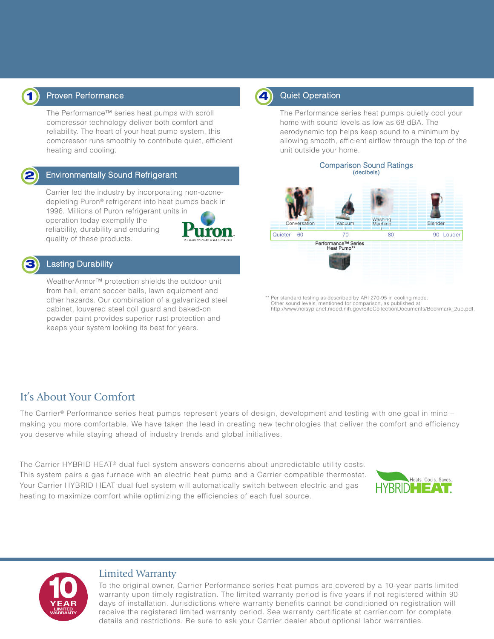

#### **1** Proven Performance **19 August 2018 4** Quiet Operation

The Performance™ series heat pumps with scroll compressor technology deliver both comfort and reliability. The heart of your heat pump system, this compressor runs smoothly to contribute quiet, efficient heating and cooling.



#### Environmentally Sound Refrigerant

Carrier led the industry by incorporating non-ozonedepleting Puron® refrigerant into heat pumps back in 1996. Millions of Puron refrigerant units in operation today exemplify the reliability, durability and enduring quality of these products.



#### Lasting Durability

WeatherArmor™ protection shields the outdoor unit from hail, errant soccer balls, lawn equipment and other hazards. Our combination of a galvanized steel cabinet, louvered steel coil guard and baked-on powder paint provides superior rust protection and keeps your system looking its best for years.



The Performance series heat pumps quietly cool your home with sound levels as low as 68 dBA. The aerodynamic top helps keep sound to a minimum by allowing smooth, efficient airflow through the top of the unit outside your home.



Per standard testing as described by ARI 270-95 in cooling mode. Other sound levels, mentioned for comparison, as published at http://www.noisyplanet.nidcd.nih.gov/SiteCollectionDocuments/Bookmark\_2up.pdf.

#### It's About Your Comfort

The Carrier® Performance series heat pumps represent years of design, development and testing with one goal in mind – making you more comfortable. We have taken the lead in creating new technologies that deliver the comfort and efficiency you deserve while staying ahead of industry trends and global initiatives.

The Carrier HYBRID HEAT® dual fuel system answers concerns about unpredictable utility costs. This system pairs a gas furnace with an electric heat pump and a Carrier compatible thermostat. Your Carrier HYBRID HEAT dual fuel system will automatically switch between electric and gas heating to maximize comfort while optimizing the efficiencies of each fuel source.





#### Limited Warranty

To the original owner, Carrier Performance series heat pumps are covered by a 10-year parts limited warranty upon timely registration. The limited warranty period is five years if not registered within 90 days of installation. Jurisdictions where warranty benefits cannot be conditioned on registration will receive the registered limited warranty period. See warranty certificate at carrier.com for complete details and restrictions. Be sure to ask your Carrier dealer about optional labor warranties.